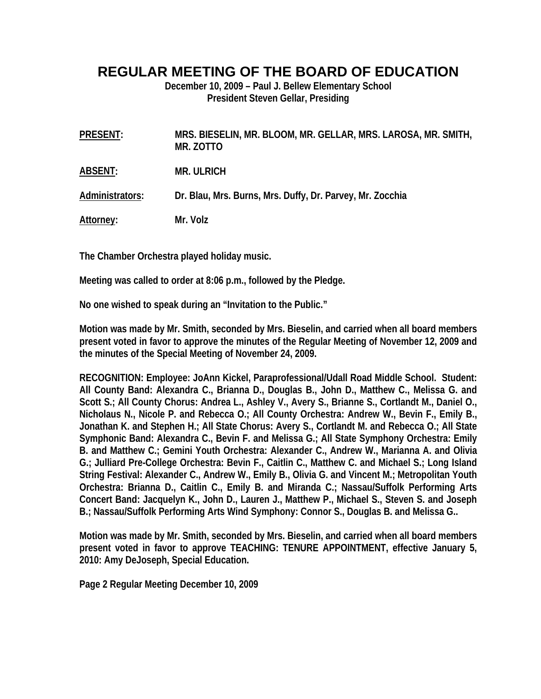## **REGULAR MEETING OF THE BOARD OF EDUCATION**

**December 10, 2009 – Paul J. Bellew Elementary School President Steven Gellar, Presiding** 

| PRESENT:         | MRS. BIESELIN, MR. BLOOM, MR. GELLAR, MRS. LAROSA, MR. SMITH,<br>MR. ZOTTO |
|------------------|----------------------------------------------------------------------------|
| ABSENT:          | <b>MR. ULRICH</b>                                                          |
| Administrators:  | Dr. Blau, Mrs. Burns, Mrs. Duffy, Dr. Parvey, Mr. Zocchia                  |
| <u>Attorney:</u> | Mr. Volz                                                                   |

**The Chamber Orchestra played holiday music.** 

**Meeting was called to order at 8:06 p.m., followed by the Pledge.** 

**No one wished to speak during an "Invitation to the Public."** 

**Motion was made by Mr. Smith, seconded by Mrs. Bieselin, and carried when all board members present voted in favor to approve the minutes of the Regular Meeting of November 12, 2009 and the minutes of the Special Meeting of November 24, 2009.** 

**RECOGNITION: Employee: JoAnn Kickel, Paraprofessional/Udall Road Middle School. Student: All County Band: Alexandra C., Brianna D., Douglas B., John D., Matthew C., Melissa G. and Scott S.; All County Chorus: Andrea L., Ashley V., Avery S., Brianne S., Cortlandt M., Daniel O., Nicholaus N., Nicole P. and Rebecca O.; All County Orchestra: Andrew W., Bevin F., Emily B., Jonathan K. and Stephen H.; All State Chorus: Avery S., Cortlandt M. and Rebecca O.; All State Symphonic Band: Alexandra C., Bevin F. and Melissa G.; All State Symphony Orchestra: Emily B. and Matthew C.; Gemini Youth Orchestra: Alexander C., Andrew W., Marianna A. and Olivia G.; Julliard Pre-College Orchestra: Bevin F., Caitlin C., Matthew C. and Michael S.; Long Island String Festival: Alexander C., Andrew W., Emily B., Olivia G. and Vincent M.; Metropolitan Youth Orchestra: Brianna D., Caitlin C., Emily B. and Miranda C.; Nassau/Suffolk Performing Arts Concert Band: Jacquelyn K., John D., Lauren J., Matthew P., Michael S., Steven S. and Joseph B.; Nassau/Suffolk Performing Arts Wind Symphony: Connor S., Douglas B. and Melissa G..** 

**Motion was made by Mr. Smith, seconded by Mrs. Bieselin, and carried when all board members present voted in favor to approve TEACHING: TENURE APPOINTMENT, effective January 5, 2010: Amy DeJoseph, Special Education.** 

**Page 2 Regular Meeting December 10, 2009**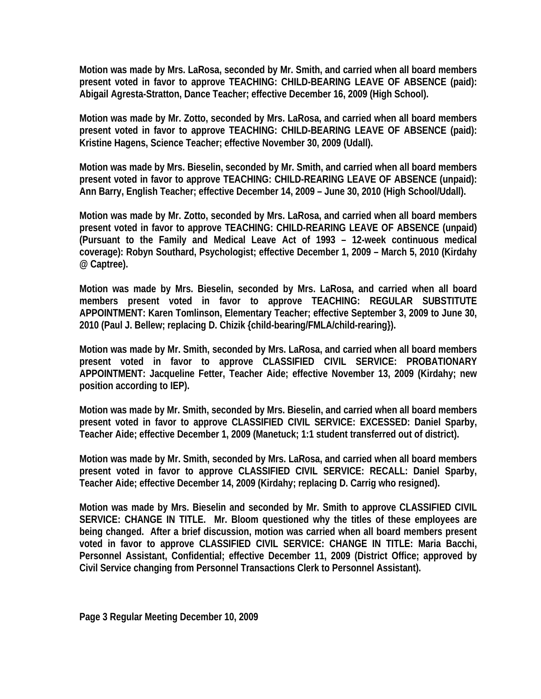**Motion was made by Mrs. LaRosa, seconded by Mr. Smith, and carried when all board members present voted in favor to approve TEACHING: CHILD-BEARING LEAVE OF ABSENCE (paid): Abigail Agresta-Stratton, Dance Teacher; effective December 16, 2009 (High School).** 

**Motion was made by Mr. Zotto, seconded by Mrs. LaRosa, and carried when all board members present voted in favor to approve TEACHING: CHILD-BEARING LEAVE OF ABSENCE (paid): Kristine Hagens, Science Teacher; effective November 30, 2009 (Udall).** 

**Motion was made by Mrs. Bieselin, seconded by Mr. Smith, and carried when all board members present voted in favor to approve TEACHING: CHILD-REARING LEAVE OF ABSENCE (unpaid): Ann Barry, English Teacher; effective December 14, 2009 – June 30, 2010 (High School/Udall).** 

**Motion was made by Mr. Zotto, seconded by Mrs. LaRosa, and carried when all board members present voted in favor to approve TEACHING: CHILD-REARING LEAVE OF ABSENCE (unpaid) (Pursuant to the Family and Medical Leave Act of 1993 – 12-week continuous medical coverage): Robyn Southard, Psychologist; effective December 1, 2009 – March 5, 2010 (Kirdahy @ Captree).** 

**Motion was made by Mrs. Bieselin, seconded by Mrs. LaRosa, and carried when all board members present voted in favor to approve TEACHING: REGULAR SUBSTITUTE APPOINTMENT: Karen Tomlinson, Elementary Teacher; effective September 3, 2009 to June 30, 2010 (Paul J. Bellew; replacing D. Chizik {child-bearing/FMLA/child-rearing}).** 

**Motion was made by Mr. Smith, seconded by Mrs. LaRosa, and carried when all board members present voted in favor to approve CLASSIFIED CIVIL SERVICE: PROBATIONARY APPOINTMENT: Jacqueline Fetter, Teacher Aide; effective November 13, 2009 (Kirdahy; new position according to IEP).** 

**Motion was made by Mr. Smith, seconded by Mrs. Bieselin, and carried when all board members present voted in favor to approve CLASSIFIED CIVIL SERVICE: EXCESSED: Daniel Sparby, Teacher Aide; effective December 1, 2009 (Manetuck; 1:1 student transferred out of district).** 

**Motion was made by Mr. Smith, seconded by Mrs. LaRosa, and carried when all board members present voted in favor to approve CLASSIFIED CIVIL SERVICE: RECALL: Daniel Sparby, Teacher Aide; effective December 14, 2009 (Kirdahy; replacing D. Carrig who resigned).** 

**Motion was made by Mrs. Bieselin and seconded by Mr. Smith to approve CLASSIFIED CIVIL SERVICE: CHANGE IN TITLE. Mr. Bloom questioned why the titles of these employees are being changed. After a brief discussion, motion was carried when all board members present voted in favor to approve CLASSIFIED CIVIL SERVICE: CHANGE IN TITLE: Maria Bacchi, Personnel Assistant, Confidential; effective December 11, 2009 (District Office; approved by Civil Service changing from Personnel Transactions Clerk to Personnel Assistant).**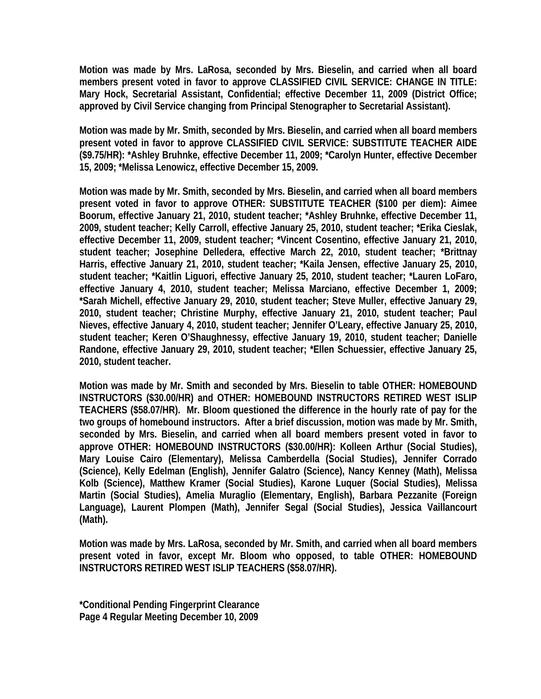**Motion was made by Mrs. LaRosa, seconded by Mrs. Bieselin, and carried when all board members present voted in favor to approve CLASSIFIED CIVIL SERVICE: CHANGE IN TITLE: Mary Hock, Secretarial Assistant, Confidential; effective December 11, 2009 (District Office; approved by Civil Service changing from Principal Stenographer to Secretarial Assistant).** 

**Motion was made by Mr. Smith, seconded by Mrs. Bieselin, and carried when all board members present voted in favor to approve CLASSIFIED CIVIL SERVICE: SUBSTITUTE TEACHER AIDE (\$9.75/HR): \*Ashley Bruhnke, effective December 11, 2009; \*Carolyn Hunter, effective December 15, 2009; \*Melissa Lenowicz, effective December 15, 2009.** 

**Motion was made by Mr. Smith, seconded by Mrs. Bieselin, and carried when all board members present voted in favor to approve OTHER: SUBSTITUTE TEACHER (\$100 per diem): Aimee Boorum, effective January 21, 2010, student teacher; \*Ashley Bruhnke, effective December 11, 2009, student teacher; Kelly Carroll, effective January 25, 2010, student teacher; \*Erika Cieslak, effective December 11, 2009, student teacher; \*Vincent Cosentino, effective January 21, 2010, student teacher; Josephine Delledera, effective March 22, 2010, student teacher; \*Brittnay Harris, effective January 21, 2010, student teacher; \*Kaila Jensen, effective January 25, 2010, student teacher; \*Kaitlin Liguori, effective January 25, 2010, student teacher; \*Lauren LoFaro, effective January 4, 2010, student teacher; Melissa Marciano, effective December 1, 2009; \*Sarah Michell, effective January 29, 2010, student teacher; Steve Muller, effective January 29, 2010, student teacher; Christine Murphy, effective January 21, 2010, student teacher; Paul Nieves, effective January 4, 2010, student teacher; Jennifer O'Leary, effective January 25, 2010, student teacher; Keren O'Shaughnessy, effective January 19, 2010, student teacher; Danielle Randone, effective January 29, 2010, student teacher; \*Ellen Schuessier, effective January 25, 2010, student teacher.** 

**Motion was made by Mr. Smith and seconded by Mrs. Bieselin to table OTHER: HOMEBOUND INSTRUCTORS (\$30.00/HR) and OTHER: HOMEBOUND INSTRUCTORS RETIRED WEST ISLIP TEACHERS (\$58.07/HR). Mr. Bloom questioned the difference in the hourly rate of pay for the two groups of homebound instructors. After a brief discussion, motion was made by Mr. Smith, seconded by Mrs. Bieselin, and carried when all board members present voted in favor to approve OTHER: HOMEBOUND INSTRUCTORS (\$30.00/HR): Kolleen Arthur (Social Studies), Mary Louise Cairo (Elementary), Melissa Camberdella (Social Studies), Jennifer Corrado (Science), Kelly Edelman (English), Jennifer Galatro (Science), Nancy Kenney (Math), Melissa Kolb (Science), Matthew Kramer (Social Studies), Karone Luquer (Social Studies), Melissa Martin (Social Studies), Amelia Muraglio (Elementary, English), Barbara Pezzanite (Foreign Language), Laurent Plompen (Math), Jennifer Segal (Social Studies), Jessica Vaillancourt (Math).** 

**Motion was made by Mrs. LaRosa, seconded by Mr. Smith, and carried when all board members present voted in favor, except Mr. Bloom who opposed, to table OTHER: HOMEBOUND INSTRUCTORS RETIRED WEST ISLIP TEACHERS (\$58.07/HR).** 

**\*Conditional Pending Fingerprint Clearance Page 4 Regular Meeting December 10, 2009**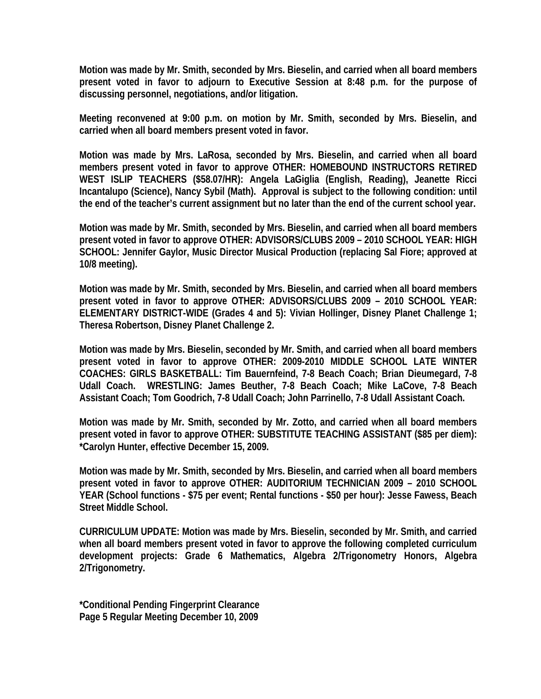**Motion was made by Mr. Smith, seconded by Mrs. Bieselin, and carried when all board members present voted in favor to adjourn to Executive Session at 8:48 p.m. for the purpose of discussing personnel, negotiations, and/or litigation.** 

**Meeting reconvened at 9:00 p.m. on motion by Mr. Smith, seconded by Mrs. Bieselin, and carried when all board members present voted in favor.** 

**Motion was made by Mrs. LaRosa, seconded by Mrs. Bieselin, and carried when all board members present voted in favor to approve OTHER: HOMEBOUND INSTRUCTORS RETIRED WEST ISLIP TEACHERS (\$58.07/HR): Angela LaGiglia (English, Reading), Jeanette Ricci Incantalupo (Science), Nancy Sybil (Math). Approval is subject to the following condition: until the end of the teacher's current assignment but no later than the end of the current school year.** 

**Motion was made by Mr. Smith, seconded by Mrs. Bieselin, and carried when all board members present voted in favor to approve OTHER: ADVISORS/CLUBS 2009 – 2010 SCHOOL YEAR: HIGH SCHOOL: Jennifer Gaylor, Music Director Musical Production (replacing Sal Fiore; approved at 10/8 meeting).** 

**Motion was made by Mr. Smith, seconded by Mrs. Bieselin, and carried when all board members present voted in favor to approve OTHER: ADVISORS/CLUBS 2009 – 2010 SCHOOL YEAR: ELEMENTARY DISTRICT-WIDE (Grades 4 and 5): Vivian Hollinger, Disney Planet Challenge 1; Theresa Robertson, Disney Planet Challenge 2.** 

**Motion was made by Mrs. Bieselin, seconded by Mr. Smith, and carried when all board members present voted in favor to approve OTHER: 2009-2010 MIDDLE SCHOOL LATE WINTER COACHES: GIRLS BASKETBALL: Tim Bauernfeind, 7-8 Beach Coach; Brian Dieumegard, 7-8 Udall Coach. WRESTLING: James Beuther, 7-8 Beach Coach; Mike LaCove, 7-8 Beach Assistant Coach; Tom Goodrich, 7-8 Udall Coach; John Parrinello, 7-8 Udall Assistant Coach.** 

**Motion was made by Mr. Smith, seconded by Mr. Zotto, and carried when all board members present voted in favor to approve OTHER: SUBSTITUTE TEACHING ASSISTANT (\$85 per diem): \*Carolyn Hunter, effective December 15, 2009.** 

**Motion was made by Mr. Smith, seconded by Mrs. Bieselin, and carried when all board members present voted in favor to approve OTHER: AUDITORIUM TECHNICIAN 2009 – 2010 SCHOOL YEAR (School functions - \$75 per event; Rental functions - \$50 per hour): Jesse Fawess, Beach Street Middle School.** 

**CURRICULUM UPDATE: Motion was made by Mrs. Bieselin, seconded by Mr. Smith, and carried when all board members present voted in favor to approve the following completed curriculum development projects: Grade 6 Mathematics, Algebra 2/Trigonometry Honors, Algebra 2/Trigonometry.** 

**\*Conditional Pending Fingerprint Clearance Page 5 Regular Meeting December 10, 2009**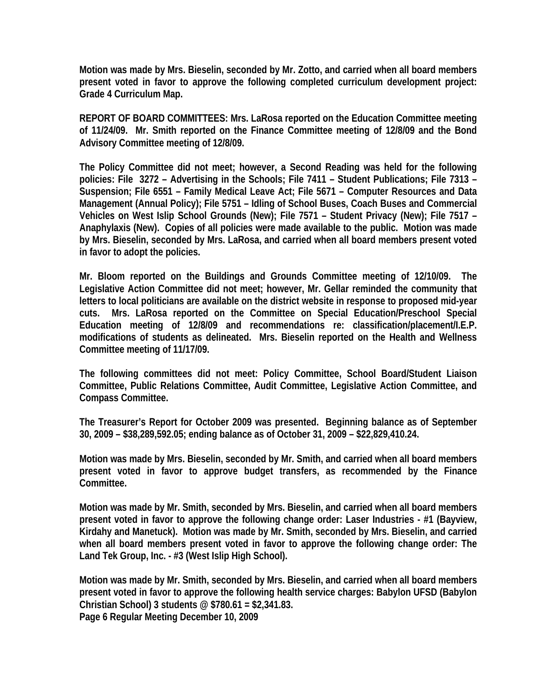**Motion was made by Mrs. Bieselin, seconded by Mr. Zotto, and carried when all board members present voted in favor to approve the following completed curriculum development project: Grade 4 Curriculum Map.** 

**REPORT OF BOARD COMMITTEES: Mrs. LaRosa reported on the Education Committee meeting of 11/24/09. Mr. Smith reported on the Finance Committee meeting of 12/8/09 and the Bond Advisory Committee meeting of 12/8/09.** 

**The Policy Committee did not meet; however, a Second Reading was held for the following policies: File 3272 – Advertising in the Schools; File 7411 – Student Publications; File 7313 – Suspension; File 6551 – Family Medical Leave Act; File 5671 – Computer Resources and Data Management (Annual Policy); File 5751 – Idling of School Buses, Coach Buses and Commercial Vehicles on West Islip School Grounds (New); File 7571 – Student Privacy (New); File 7517 – Anaphylaxis (New). Copies of all policies were made available to the public. Motion was made by Mrs. Bieselin, seconded by Mrs. LaRosa, and carried when all board members present voted in favor to adopt the policies.** 

**Mr. Bloom reported on the Buildings and Grounds Committee meeting of 12/10/09. The Legislative Action Committee did not meet; however, Mr. Gellar reminded the community that letters to local politicians are available on the district website in response to proposed mid-year cuts. Mrs. LaRosa reported on the Committee on Special Education/Preschool Special Education meeting of 12/8/09 and recommendations re: classification/placement/I.E.P. modifications of students as delineated. Mrs. Bieselin reported on the Health and Wellness Committee meeting of 11/17/09.** 

**The following committees did not meet: Policy Committee, School Board/Student Liaison Committee, Public Relations Committee, Audit Committee, Legislative Action Committee, and Compass Committee.** 

**The Treasurer's Report for October 2009 was presented. Beginning balance as of September 30, 2009 – \$38,289,592.05; ending balance as of October 31, 2009 – \$22,829,410.24.** 

**Motion was made by Mrs. Bieselin, seconded by Mr. Smith, and carried when all board members present voted in favor to approve budget transfers, as recommended by the Finance Committee.** 

**Motion was made by Mr. Smith, seconded by Mrs. Bieselin, and carried when all board members present voted in favor to approve the following change order: Laser Industries - #1 (Bayview, Kirdahy and Manetuck). Motion was made by Mr. Smith, seconded by Mrs. Bieselin, and carried when all board members present voted in favor to approve the following change order: The Land Tek Group, Inc. - #3 (West Islip High School).** 

**Motion was made by Mr. Smith, seconded by Mrs. Bieselin, and carried when all board members present voted in favor to approve the following health service charges: Babylon UFSD (Babylon Christian School) 3 students @ \$780.61 = \$2,341.83. Page 6 Regular Meeting December 10, 2009**